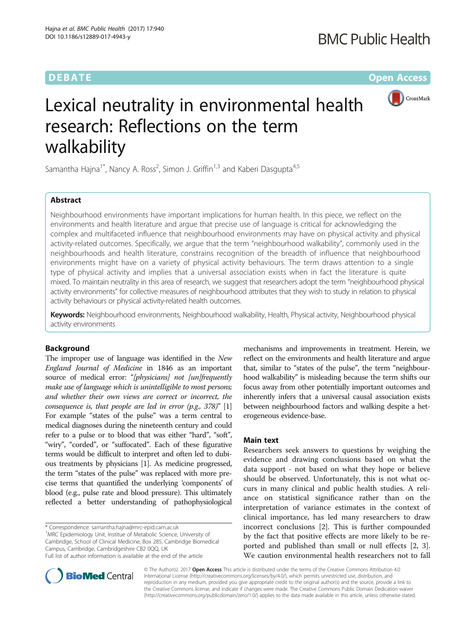**DEBATE CONSERVATION CONSERVATION** 



# Lexical neutrality in environmental health research: Reflections on the term walkability

Samantha Hajna<sup>1\*</sup>, Nancy A. Ross<sup>2</sup>, Simon J. Griffin<sup>1,3</sup> and Kaberi Dasgupta<sup>4,5</sup>

# Abstract

Neighbourhood environments have important implications for human health. In this piece, we reflect on the environments and health literature and argue that precise use of language is critical for acknowledging the complex and multifaceted influence that neighbourhood environments may have on physical activity and physical activity-related outcomes. Specifically, we argue that the term "neighbourhood walkability", commonly used in the neighbourhoods and health literature, constrains recognition of the breadth of influence that neighbourhood environments might have on a variety of physical activity behaviours. The term draws attention to a single type of physical activity and implies that a universal association exists when in fact the literature is quite mixed. To maintain neutrality in this area of research, we suggest that researchers adopt the term "neighbourhood physical activity environments" for collective measures of neighbourhood attributes that they wish to study in relation to physical activity behaviours or physical activity-related health outcomes.

Keywords: Neighbourhood environments, Neighbourhood walkability, Health, Physical activity, Neighbourhood physical activity environments

# Background

The improper use of language was identified in the New England Journal of Medicine in 1846 as an important source of medical error: "[physicians] not [un]frequently make use of language which is unintelligible to most persons; and whether their own views are correct or incorrect, the consequence is, that people are led in error  $(p.g., 378)$ " [[1](#page-3-0)] For example "states of the pulse" was a term central to medical diagnoses during the nineteenth century and could refer to a pulse or to blood that was either "hard", "soft", "wiry", "corded", or "suffocated". Each of these figurative terms would be difficult to interpret and often led to dubious treatments by physicians [\[1](#page-3-0)]. As medicine progressed, the term "states of the pulse" was replaced with more precise terms that quantified the underlying 'components' of blood (e.g., pulse rate and blood pressure). This ultimately reflected a better understanding of pathophysiological

\* Correspondence: [samantha.hajna@mrc-epid.cam.ac.uk](mailto:samantha.hajna@mrc-epid.cam.ac.uk) <sup>1</sup>

<sup>1</sup>MRC Epidemiology Unit, Institue of Metabolic Science, University of Cambridge, School of Clinical Medicine, Box 285, Cambridge Biomedical Campus, Cambridge, Cambridgeshire CB2 0QQ, UK Full list of author information is available at the end of the article

mechanisms and improvements in treatment. Herein, we reflect on the environments and health literature and argue that, similar to "states of the pulse", the term "neighbourhood walkability" is misleading because the term shifts our focus away from other potentially important outcomes and inherently infers that a universal causal association exists between neighbourhood factors and walking despite a heterogeneous evidence-base.

# Main text

Researchers seek answers to questions by weighing the evidence and drawing conclusions based on what the data support - not based on what they hope or believe should be observed. Unfortunately, this is not what occurs in many clinical and public health studies. A reliance on statistical significance rather than on the interpretation of variance estimates in the context of clinical importance, has led many researchers to draw incorrect conclusions [\[2](#page-3-0)]. This is further compounded by the fact that positive effects are more likely to be reported and published than small or null effects [[2, 3](#page-3-0)]. We caution environmental health researchers not to fall



© The Author(s). 2017 **Open Access** This article is distributed under the terms of the Creative Commons Attribution 4.0 International License [\(http://creativecommons.org/licenses/by/4.0/](http://creativecommons.org/licenses/by/4.0/)), which permits unrestricted use, distribution, and reproduction in any medium, provided you give appropriate credit to the original author(s) and the source, provide a link to the Creative Commons license, and indicate if changes were made. The Creative Commons Public Domain Dedication waiver [\(http://creativecommons.org/publicdomain/zero/1.0/](http://creativecommons.org/publicdomain/zero/1.0/)) applies to the data made available in this article, unless otherwise stated.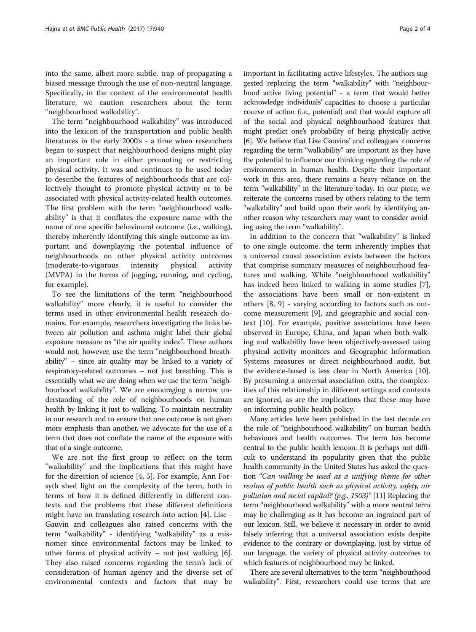into the same, albeit more subtle, trap of propagating a biased message through the use of non-neutral language. Specifically, in the context of the environmental health literature, we caution researchers about the term "neighbourhood walkability".

The term "neighbourhood walkability" was introduced into the lexicon of the transportation and public health literatures in the early 2000's - a time when researchers began to suspect that neighbourhood designs might play an important role in either promoting or restricting physical activity. It was and continues to be used today to describe the features of neighbourhoods that are collectively thought to promote physical activity or to be associated with physical activity-related health outcomes. The first problem with the term "neighbourhood walkability" is that it conflates the exposure name with the name of one specific behavioural outcome (i.e., walking), thereby inherently identifying this single outcome as important and downplaying the potential influence of neighbourhoods on other physical activity outcomes (moderate-to-vigorous intensity physical activity (MVPA) in the forms of jogging, running, and cycling, for example).

To see the limitations of the term "neighbourhood walkability" more clearly, it is useful to consider the terms used in other environmental health research domains. For example, researchers investigating the links between air pollution and asthma might label their global exposure measure as "the air quality index". These authors would not, however, use the term "neighbourhood breathability" – since air quality may be linked to a variety of respiratory-related outcomes – not just breathing. This is essentially what we are doing when we use the term "neighbourhood walkability". We are encouraging a narrow understanding of the role of neighbourhoods on human health by linking it just to walking. To maintain neutrality in our research and to ensure that one outcome is not given more emphasis than another, we advocate for the use of a term that does not conflate the name of the exposure with that of a single outcome.

We are not the first group to reflect on the term "walkability" and the implications that this might have for the direction of science [\[4](#page-3-0), [5](#page-3-0)]. For example, Ann Forsyth shed light on the complexity of the term, both in terms of how it is defined differently in different contexts and the problems that these different definitions might have on translating research into action [\[4\]](#page-3-0). Lise - Gauvin and colleagues also raised concerns with the term "walkability" - identifying "walkability" as a misnomer since environmental factors may be linked to other forms of physical activity – not just walking [\[6](#page-3-0)]. They also raised concerns regarding the term's lack of consideration of human agency and the diverse set of environmental contexts and factors that may be

important in facilitating active lifestyles. The authors suggested replacing the term "walkability" with "neighbourhood active living potential" - a term that would better acknowledge individuals' capacities to choose a particular course of action (i.e., potential) and that would capture all of the social and physical neighbourhood features that might predict one's probability of being physically active [[6](#page-3-0)]. We believe that Lise Gauvins' and colleagues' concerns regarding the term "walkability" are important as they have the potential to influence our thinking regarding the role of environments in human health. Despite their important work in this area, there remains a heavy reliance on the term "walkability" in the literature today. In our piece, we reiterate the concerns raised by others relating to the term "walkability" and build upon their work by identifying another reason why researchers may want to consider avoiding using the term "walkability".

In addition to the concern that "walkability" is linked to one single outcome, the term inherently implies that a universal causal association exists between the factors that comprise summary measures of neighbourhood features and walking. While "neighbourhood walkability" has indeed been linked to walking in some studies [\[7](#page-3-0)], the associations have been small or non-existent in others [\[8, 9\]](#page-3-0) - varying according to factors such as outcome measurement [\[9](#page-3-0)], and geographic and social context [\[10\]](#page-3-0). For example, positive associations have been observed in Europe, China, and Japan when both walking and walkability have been objectively-assessed using physical activity monitors and Geographic Information Systems measures or direct neighbourhood audit, but the evidence-based is less clear in North America [\[10](#page-3-0)]. By presuming a universal association exits, the complexities of this relationship in different settings and contexts are ignored, as are the implications that these may have on informing public health policy.

Many articles have been published in the last decade on the role of "neighbourhood walkability" on human health behaviours and health outcomes. The term has become central to the public health lexicon. It is perhaps not difficult to understand its popularity given that the public health community in the United States has asked the question "Can walking be used as a unifying theme for other realms of public health such as physical activity, safety, air pollution and social capital? (p.g., 1503)" [\[11](#page-3-0)] Replacing the term "neighbourhood walkability" with a more neutral term may be challenging as it has become an ingrained part of our lexicon. Still, we believe it necessary in order to avoid falsely inferring that a universal association exists despite evidence to the contrary or downplaying, just by virtue of our language, the variety of physical activity outcomes to which features of neighbourhood may be linked.

There are several alternatives to the term "neighbourhood walkability". First, researchers could use terms that are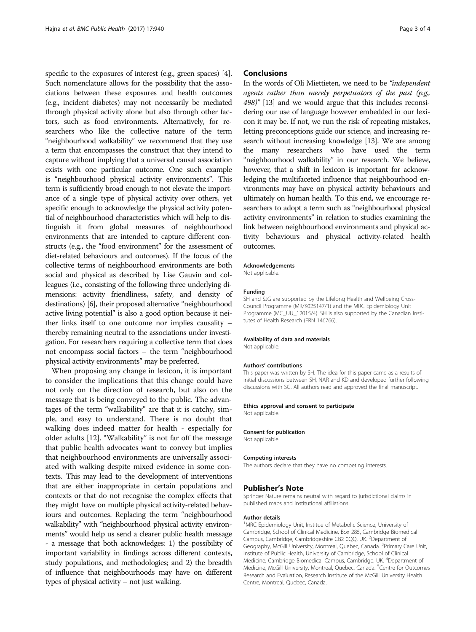specific to the exposures of interest (e.g., green spaces) [[4](#page-3-0)]. Such nomenclature allows for the possibility that the associations between these exposures and health outcomes (e.g., incident diabetes) may not necessarily be mediated through physical activity alone but also through other factors, such as food environments. Alternatively, for researchers who like the collective nature of the term "neighbourhood walkability" we recommend that they use a term that encompasses the construct that they intend to capture without implying that a universal causal association exists with one particular outcome. One such example is "neighbourhood physical activity environments". This term is sufficiently broad enough to not elevate the importance of a single type of physical activity over others, yet specific enough to acknowledge the physical activity potential of neighbourhood characteristics which will help to distinguish it from global measures of neighbourhood environments that are intended to capture different constructs (e.g., the "food environment" for the assessment of diet-related behaviours and outcomes). If the focus of the collective terms of neighbourhood environments are both social and physical as described by Lise Gauvin and colleagues (i.e., consisting of the following three underlying dimensions: activity friendliness, safety, and density of destinations) [\[6\]](#page-3-0), their proposed alternative "neighbourhood active living potential" is also a good option because it neither links itself to one outcome nor implies causality – thereby remaining neutral to the associations under investigation. For researchers requiring a collective term that does not encompass social factors – the term "neighbourhood physical activity environments" may be preferred.

When proposing any change in lexicon, it is important to consider the implications that this change could have not only on the direction of research, but also on the message that is being conveyed to the public. The advantages of the term "walkability" are that it is catchy, simple, and easy to understand. There is no doubt that walking does indeed matter for health - especially for older adults [[12](#page-3-0)]. "Walkability" is not far off the message that public health advocates want to convey but implies that neighbourhood environments are universally associated with walking despite mixed evidence in some contexts. This may lead to the development of interventions that are either inappropriate in certain populations and contexts or that do not recognise the complex effects that they might have on multiple physical activity-related behaviours and outcomes. Replacing the term "neighbourhood walkability" with "neighbourhood physical activity environments" would help us send a clearer public health message - a message that both acknowledges: 1) the possibility of important variability in findings across different contexts, study populations, and methodologies; and 2) the breadth of influence that neighbourhoods may have on different types of physical activity – not just walking.

## **Conclusions**

In the words of Oli Miettieten, we need to be "independent agents rather than merely perpetuators of the past (p.g., 498)" [[13](#page-3-0)] and we would argue that this includes reconsidering our use of language however embedded in our lexicon it may be. If not, we run the risk of repeating mistakes, letting preconceptions guide our science, and increasing research without increasing knowledge [[13](#page-3-0)]. We are among the many researchers who have used the term "neighbourhood walkability" in our research. We believe, however, that a shift in lexicon is important for acknowledging the multifaceted influence that neighbourhood environments may have on physical activity behaviours and ultimately on human health. To this end, we encourage researchers to adopt a term such as "neighbourhood physical activity environments" in relation to studies examining the link between neighbourhood environments and physical activity behaviours and physical activity-related health outcomes.

#### Acknowledgements

Not applicable.

### Funding

SH and SJG are supported by the Lifelong Health and Wellbeing Cross-Council Programme (MR/K025147/1) and the MRC Epidemiology Unit Programme (MC\_UU\_12015/4). SH is also supported by the Canadian Institutes of Health Research (FRN 146766).

#### Availability of data and materials

Not applicable.

#### Authors' contributions

This paper was written by SH. The idea for this paper came as a results of initial discussions between SH, NAR and KD and developed further following discussions with SG. All authors read and approved the final manuscript.

#### Ethics approval and consent to participate

Not applicable.

#### Consent for publication

Not applicable.

#### Competing interests

The authors declare that they have no competing interests.

#### Publisher's Note

Springer Nature remains neutral with regard to jurisdictional claims in published maps and institutional affiliations.

#### Author details

<sup>1</sup>MRC Epidemiology Unit, Institue of Metabolic Science, University of Cambridge, School of Clinical Medicine, Box 285, Cambridge Biomedical Campus, Cambridge, Cambridgeshire CB2 0QQ, UK. <sup>2</sup>Department of Geography, McGill University, Montreal, Quebec, Canada. <sup>3</sup>Primary Care Unit Institute of Public Health, University of Cambridge, School of Clinical Medicine, Cambridge Biomedical Campus, Cambridge, UK. <sup>4</sup>Department of Medicine, McGill University, Montreal, Quebec, Canada. <sup>5</sup>Centre for Outcomes Research and Evaluation, Research Institute of the McGill University Health Centre, Montreal, Quebec, Canada.